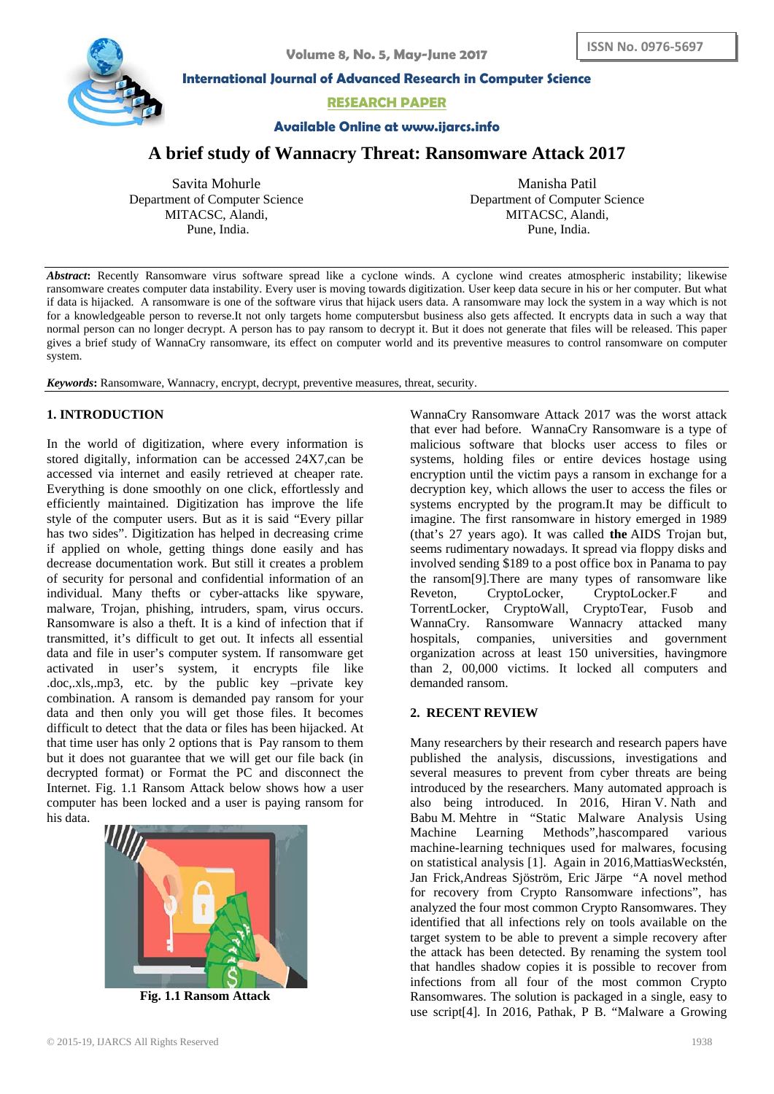

**International Journal of Advanced Research in Computer Science**

**RESEARCH PAPER**

## **Available Online at www.ijarcs.info**

# **A brief study of Wannacry Threat: Ransomware Attack 2017**

Savita Mohurle Department of Computer Science MITACSC, Alandi, Pune, India.

Manisha Patil Department of Computer Science MITACSC, Alandi, Pune, India.

*Abstract***:** Recently Ransomware virus software spread like a cyclone winds. A cyclone wind creates atmospheric instability; likewise ransomware creates computer data instability. Every user is moving towards digitization. User keep data secure in his or her computer. But what if data is hijacked. A ransomware is one of the software virus that hijack users data. A ransomware may lock the system in a way which is not for a knowledgeable person to reverse.It not only targets home computersbut business also gets affected. It encrypts data in such a way that normal person can no longer decrypt. A person has to pay ransom to decrypt it. But it does not generate that files will be released. This paper gives a brief study of WannaCry ransomware, its effect on computer world and its preventive measures to control ransomware on computer system.

*Keywords***:** Ransomware, Wannacry, encrypt, decrypt, preventive measures, threat, security.

# **1. INTRODUCTION**

In the world of digitization, where every information is stored digitally, information can be accessed 24X7,can be accessed via internet and easily retrieved at cheaper rate. Everything is done smoothly on one click, effortlessly and efficiently maintained. Digitization has improve the life style of the computer users. But as it is said "Every pillar has two sides". Digitization has helped in decreasing crime if applied on whole, getting things done easily and has decrease documentation work. But still it creates a problem of security for personal and confidential information of an individual. Many thefts or cyber-attacks like spyware, malware, Trojan, phishing, intruders, spam, virus occurs. Ransomware is also a theft. It is a kind of infection that if transmitted, it's difficult to get out. It infects all essential data and file in user's computer system. If ransomware get activated in user's system, it encrypts file like .doc,.xls,.mp3, etc. by the public key –private key combination. A ransom is demanded pay ransom for your data and then only you will get those files. It becomes difficult to detect that the data or files has been hijacked. At that time user has only 2 options that is Pay ransom to them but it does not guarantee that we will get our file back (in decrypted format) or Format the PC and disconnect the Internet. Fig. 1.1 Ransom Attack below shows how a user computer has been locked and a user is paying ransom for his data.



**Fig. 1.1 Ransom Attack**

WannaCry Ransomware Attack 2017 was the worst attack that ever had before. WannaCry [Ransomware](http://whatis.techtarget.com/definition/ransomware-cryptovirus-cryptotrojan-or-cryptoworm) is a type of malicious software that blocks user access to files or systems, holding files or entire devices hostage using encryption until the victim pays a ransom in exchange for a decryption key, which allows the user to access the files or systems encrypted by the program.It may be difficult to imagine. The first ransomware in history emerged in 1989 (that's 27 years ago). It was called **the** [AIDS Trojan](https://en.wikipedia.org/wiki/AIDS_%28Trojan_horse%29) but, seems rudimentary nowadays. It spread via floppy disks and involved sending \$189 to a post office box in Panama to pay the ransom[9].There are many types of ransomware like Reveton, CryptoLocker, CryptoLocker.F and TorrentLocker, CryptoWall, CryptoTear, Fusob and WannaCry. Ransomware Wannacry attacked many hospitals, companies, universities and government organization across at least 150 universities, havingmore than 2, 00,000 victims. It locked all computers and demanded ransom.

#### **2. RECENT REVIEW**

Many researchers by their research and research papers have published the analysis, discussions, investigations and several measures to prevent from cyber threats are being introduced by the researchers. Many automated approach is also being introduced. In 2016, Hiran V. Nath and Babu M. Mehtre in "Static Malware Analysis Using Machine Learning Methods",hascompared various machine-learning techniques used for malwares, focusing on statistical analysis [1]. Again in 2016[,MattiasWeckstén,](http://ieeexplore.ieee.org/search/searchresult.jsp?searchWithin=%22Authors%22:.QT.Mattias%20Weckst.AND..HSH.x00E9;n.QT.&newsearch=true) [Jan Frick](http://ieeexplore.ieee.org/search/searchresult.jsp?searchWithin=%22Authors%22:.QT.Jan%20Frick.QT.&newsearch=true)[,Andreas Sjöström,](http://ieeexplore.ieee.org/search/searchresult.jsp?searchWithin=%22Authors%22:.QT.Andreas%20Sj.AND..HSH.x00F6;str.AND..HSH.x00F6;m.QT.&newsearch=true) [Eric Järpe](http://ieeexplore.ieee.org/search/searchresult.jsp?searchWithin=%22Authors%22:.QT.Eric%20J.AND..HSH.x00E4;rpe.QT.&newsearch=true) "A novel method for recovery from Crypto Ransomware infections", has analyzed the four most common Crypto Ransomwares. They identified that all infections rely on tools available on the target system to be able to prevent a simple recovery after the attack has been detected. By renaming the system tool that handles shadow copies it is possible to recover from infections from all four of the most common Crypto Ransomwares. The solution is packaged in a single, easy to use script[4]. In 2016, Pathak, P B. "Malware a Growing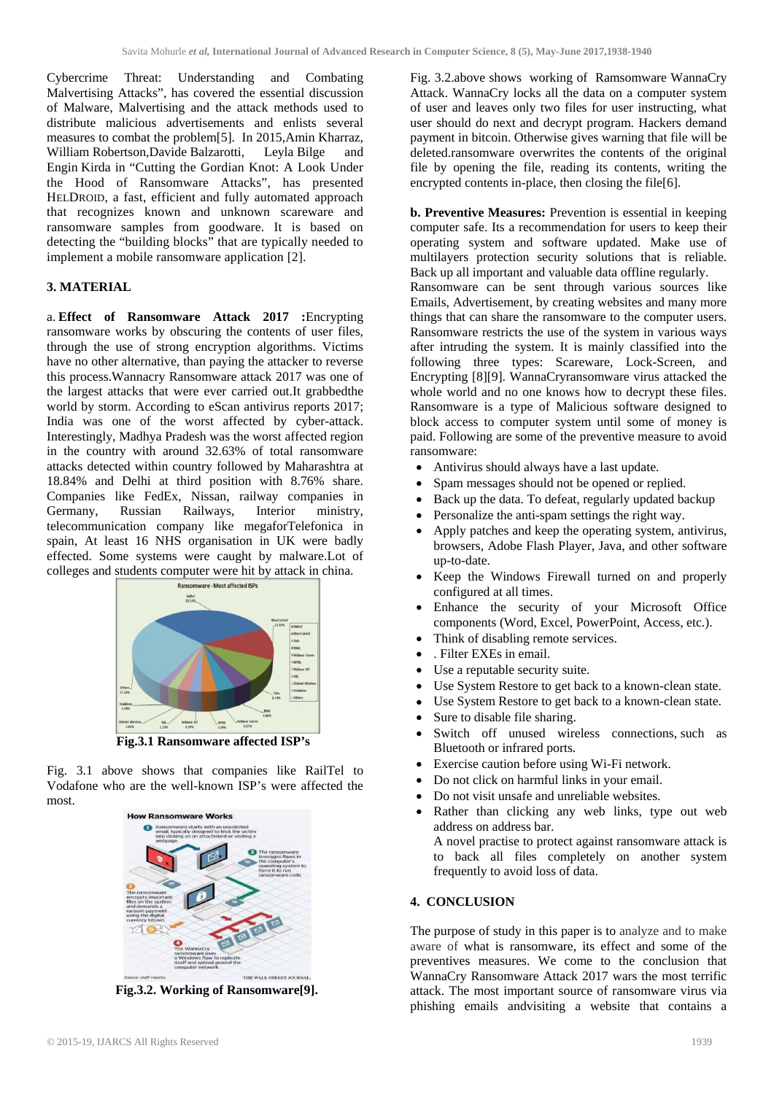Cybercrime Threat: Understanding and Combating Malvertising Attacks", has covered the essential discussion of Malware, Malvertising and the attack methods used to distribute malicious advertisements and enlists several measures to combat the problem[5]. In 2015,Amin Kharraz, William Robertson,Davide Balzarotti, Leyla Bilge and Engin Kirda in "Cutting the Gordian Knot: A Look Under the Hood of Ransomware Attacks", has presented HELDROID, a fast, efficient and fully automated approach that recognizes known and unknown scareware and ransomware samples from goodware. It is based on detecting the "building blocks" that are typically needed to implement a mobile ransomware application [2].

## **3. MATERIAL**

a. **Effect of Ransomware Attack 2017 :**Encrypting ransomware works by obscuring the contents of user files, through the use of strong encryption algorithms. Victims have no other alternative, than paying the attacker to reverse this process.Wannacry Ransomware attack 2017 was one of the largest attacks that were ever carried out.It grabbedthe world by storm. According to eScan antivirus reports 2017; India was one of the worst affected by cyber-attack. Interestingly, Madhya Pradesh was the worst affected region in the country with around 32.63% of total ransomware attacks detected within country followed by Maharashtra at 18.84% and Delhi at third position with 8.76% share. Companies like FedEx, Nissan, railway companies in Germany, Russian Railways, Interior ministry, telecommunication company like megaforTelefonica in spain, At least 16 NHS organisation in UK were badly effected. Some systems were caught by malware.Lot of colleges and students computer were hit by attack in china.



 **Fig.3.1 Ransomware affected ISP's**

Fig. 3.1 above shows that companies like RailTel to Vodafone who are the well-known ISP's were affected the most.



**Fig.3.2. Working of Ransomware[9].**

Fig. 3.2.above shows working of Ramsomware WannaCry Attack. WannaCry locks all the data on a computer system of user and leaves only two files for user instructing, what user should do next and decrypt program. Hackers demand payment in bitcoin. Otherwise gives warning that file will be deleted.ransomware overwrites the contents of the original file by opening the file, reading its contents, writing the encrypted contents in-place, then closing the file<sup>[6]</sup>.

**b. Preventive Measures:** Prevention is essential in keeping computer safe. Its a recommendation for users to keep their operating system and software updated. Make use of multilayers protection security solutions that is reliable. Back up all important and valuable data offline regularly. Ransomware can be sent through various sources like Emails, Advertisement, by creating websites and many more things that can share the ransomware to the computer users. Ransomware restricts the use of the system in various ways after intruding the system. It is mainly classified into the following three types: Scareware, Lock-Screen, and Encrypting [8][9]. WannaCryransomware virus attacked the whole world and no one knows how to decrypt these files. Ransomware is a type of Malicious software designed to block access to computer system until some of money is paid. Following are some of the preventive measure to avoid ransomware:

- Antivirus should always have a last update.
- Spam messages should not be opened or replied.
- Back up the data. To defeat, regularly updated backup
- Personalize the anti-spam settings the right way.
- Apply patches and keep the operating system, antivirus, browsers, Adobe Flash Player, Java, and other software up-to-date.
- Keep the Windows Firewall turned on and properly configured at all times.
- Enhance the security of your Microsoft Office components (Word, Excel, PowerPoint, Access, etc.).
- Think of disabling remote services.
- . Filter EXEs in email.
- Use a reputable security suite.
- Use System Restore to get back to a known-clean state.
- Use System Restore to get back to a known-clean state.
- Sure to disable file sharing.
- Switch off unused wireless connections, such as Bluetooth or infrared ports.
- Exercise caution before using Wi-Fi network.
- Do not click on harmful links in your email.
- Do not visit unsafe and unreliable websites.
- Rather than clicking any web links, type out web address on address bar.

A novel practise to protect against ransomware attack is to back all files completely on another system frequently to avoid loss of data.

## **4. CONCLUSION**

The purpose of study in this paper is to analyze and to make aware of what is ransomware, its effect and some of the preventives measures. We come to the conclusion that WannaCry Ransomware Attack 2017 wars the most terrific attack. The most important source of ransomware virus via phishing emails andvisiting a website that contains a